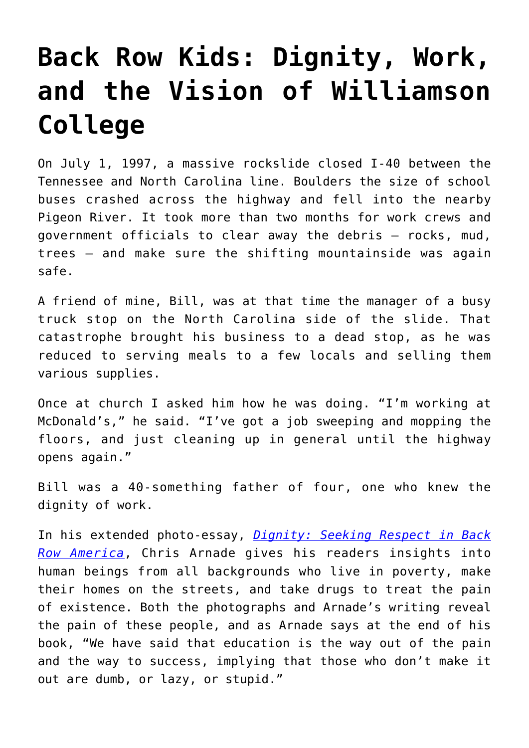## **[Back Row Kids: Dignity, Work,](https://intellectualtakeout.org/2019/11/back-row-kids-dignity-work-and-the-vision-of-williamson-college/) [and the Vision of Williamson](https://intellectualtakeout.org/2019/11/back-row-kids-dignity-work-and-the-vision-of-williamson-college/) [College](https://intellectualtakeout.org/2019/11/back-row-kids-dignity-work-and-the-vision-of-williamson-college/)**

On July 1, 1997, a massive rockslide closed I-40 between the Tennessee and North Carolina line. Boulders the size of school buses crashed across the highway and fell into the nearby Pigeon River. It took more than two months for work crews and government officials to clear away the debris – rocks, mud, trees – and make sure the shifting mountainside was again safe.

A friend of mine, Bill, was at that time the manager of a busy truck stop on the North Carolina side of the slide. That catastrophe brought his business to a dead stop, as he was reduced to serving meals to a few locals and selling them various supplies.

Once at church I asked him how he was doing. "I'm working at McDonald's," he said. "I've got a job sweeping and mopping the floors, and just cleaning up in general until the highway opens again."

Bill was a 40-something father of four, one who knew the dignity of work.

In his extended photo-essay, *[Dignity: Seeking Respect in Back](https://www.amazon.com/Dignity-Seeking-Respect-Back-America/dp/0525534733/ref=sr_1_1?crid=3BJJ6DTSL8ENH&keywords=dignity+chris+arnade&qid=1573686890&sprefix=dignity%2Caps%2C142&sr=8-1) [Row America](https://www.amazon.com/Dignity-Seeking-Respect-Back-America/dp/0525534733/ref=sr_1_1?crid=3BJJ6DTSL8ENH&keywords=dignity+chris+arnade&qid=1573686890&sprefix=dignity%2Caps%2C142&sr=8-1)*, Chris Arnade gives his readers insights into human beings from all backgrounds who live in poverty, make their homes on the streets, and take drugs to treat the pain of existence. Both the photographs and Arnade's writing reveal the pain of these people, and as Arnade says at the end of his book, "We have said that education is the way out of the pain and the way to success, implying that those who don't make it out are dumb, or lazy, or stupid."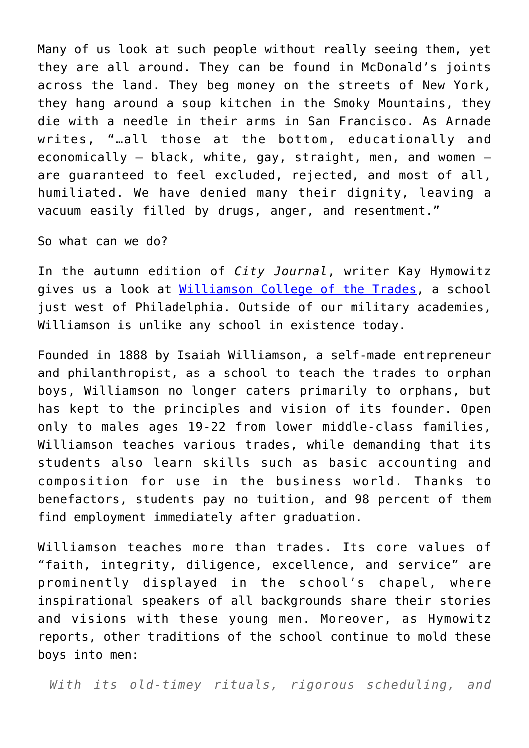Many of us look at such people without really seeing them, yet they are all around. They can be found in McDonald's joints across the land. They beg money on the streets of New York, they hang around a soup kitchen in the Smoky Mountains, they die with a needle in their arms in San Francisco. As Arnade writes, "…all those at the bottom, educationally and economically – black, white, gay, straight, men, and women – are guaranteed to feel excluded, rejected, and most of all, humiliated. We have denied many their dignity, leaving a vacuum easily filled by drugs, anger, and resentment."

So what can we do?

In the autumn edition of *City Journal*, writer Kay Hymowitz gives us a look at [Williamson College of the Trades](https://www.city-journal.org/williamson-college-of-the-trades), a school just west of Philadelphia. Outside of our military academies, Williamson is unlike any school in existence today.

Founded in 1888 by Isaiah Williamson, a self-made entrepreneur and philanthropist, as a school to teach the trades to orphan boys, Williamson no longer caters primarily to orphans, but has kept to the principles and vision of its founder. Open only to males ages 19-22 from lower middle-class families, Williamson teaches various trades, while demanding that its students also learn skills such as basic accounting and composition for use in the business world. Thanks to benefactors, students pay no tuition, and 98 percent of them find employment immediately after graduation.

Williamson teaches more than trades. Its core values of "faith, integrity, diligence, excellence, and service" are prominently displayed in the school's chapel, where inspirational speakers of all backgrounds share their stories and visions with these young men. Moreover, as Hymowitz reports, other traditions of the school continue to mold these boys into men:

*With its old-timey rituals, rigorous scheduling, and*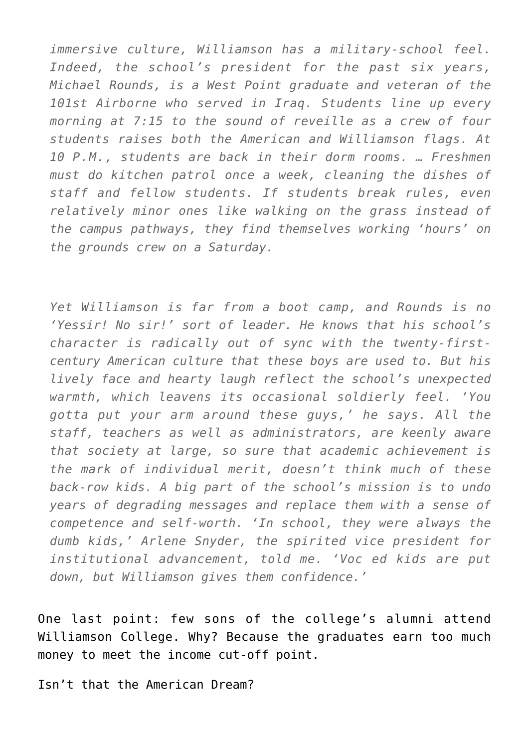*immersive culture, Williamson has a military-school feel. Indeed, the school's president for the past six years, Michael Rounds, is a West Point graduate and veteran of the 101st Airborne who served in Iraq. Students line up every morning at 7:15 to the sound of reveille as a crew of four students raises both the American and Williamson flags. At 10 P.M., students are back in their dorm rooms. … Freshmen must do kitchen patrol once a week, cleaning the dishes of staff and fellow students. If students break rules, even relatively minor ones like walking on the grass instead of the campus pathways, they find themselves working 'hours' on the grounds crew on a Saturday.*

*Yet Williamson is far from a boot camp, and Rounds is no 'Yessir! No sir!' sort of leader. He knows that his school's character is radically out of sync with the twenty-firstcentury American culture that these boys are used to. But his lively face and hearty laugh reflect the school's unexpected warmth, which leavens its occasional soldierly feel. 'You gotta put your arm around these guys,' he says. All the staff, teachers as well as administrators, are keenly aware that society at large, so sure that academic achievement is the mark of individual merit, doesn't think much of these back-row kids. A big part of the school's mission is to undo years of degrading messages and replace them with a sense of competence and self-worth. 'In school, they were always the dumb kids,' Arlene Snyder, the spirited vice president for institutional advancement, told me. 'Voc ed kids are put down, but Williamson gives them confidence.'*

One last point: few sons of the college's alumni attend Williamson College. Why? Because the graduates earn too much money to meet the income cut-off point.

Isn't that the American Dream?